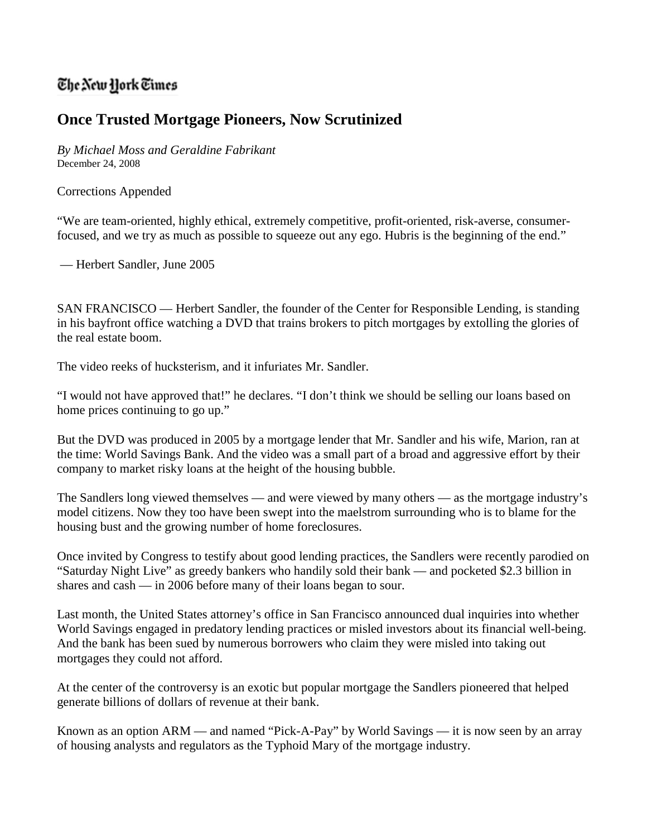# The New York Times

## **Once Trusted Mortgage Pioneers, Now Scrutinized**

*By Michael Moss and Geraldine Fabrikant* December 24, 2008

Corrections Appended

"We are team-oriented, highly ethical, extremely competitive, profit-oriented, risk-averse, consumerfocused, and we try as much as possible to squeeze out any ego. Hubris is the beginning of the end."

— Herbert Sandler, June 2005

SAN FRANCISCO — Herbert Sandler, the founder of the Center for Responsible Lending, is standing in his bayfront office watching a DVD that trains brokers to pitch mortgages by extolling the glories of the real estate boom.

The video reeks of hucksterism, and it infuriates Mr. Sandler.

"I would not have approved that!" he declares. "I don't think we should be selling our loans based on home prices continuing to go up."

But the DVD was produced in 2005 by a mortgage lender that Mr. Sandler and his wife, Marion, ran at the time: World Savings Bank. And the video was a small part of a broad and aggressive effort by their company to market risky loans at the height of the housing bubble.

The Sandlers long viewed themselves — and were viewed by many others — as the mortgage industry's model citizens. Now they too have been swept into the maelstrom surrounding who is to blame for the housing bust and the growing number of home foreclosures.

Once invited by Congress to testify about good lending practices, the Sandlers were recently parodied on "Saturday Night Live" as greedy bankers who handily sold their bank — and pocketed \$2.3 billion in shares and cash — in 2006 before many of their loans began to sour.

Last month, the United States attorney's office in San Francisco announced dual inquiries into whether World Savings engaged in predatory lending practices or misled investors about its financial well-being. And the bank has been sued by numerous borrowers who claim they were misled into taking out mortgages they could not afford.

At the center of the controversy is an exotic but popular mortgage the Sandlers pioneered that helped generate billions of dollars of revenue at their bank.

Known as an option ARM — and named "Pick-A-Pay" by World Savings — it is now seen by an array of housing analysts and regulators as the Typhoid Mary of the mortgage industry.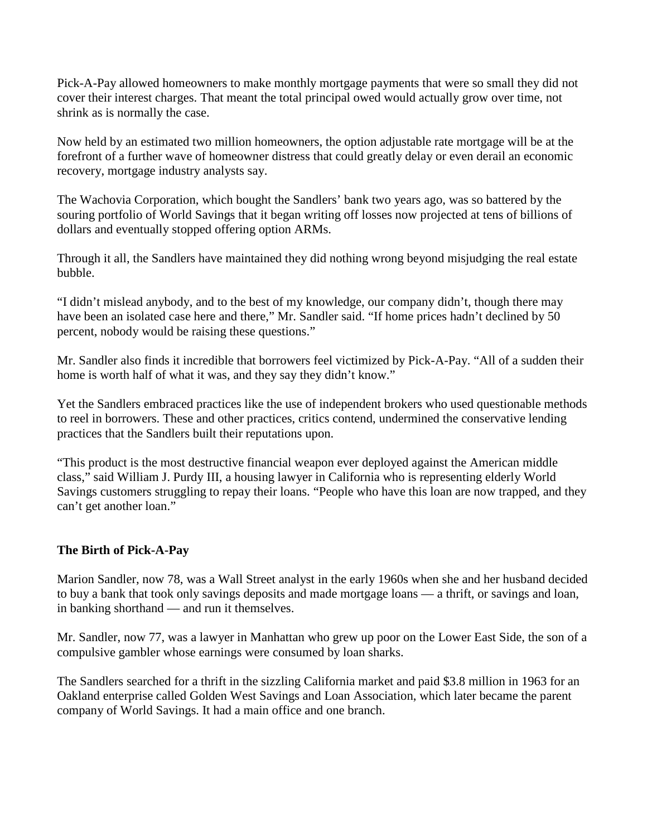Pick-A-Pay allowed homeowners to make monthly mortgage payments that were so small they did not cover their interest charges. That meant the total principal owed would actually grow over time, not shrink as is normally the case.

Now held by an estimated two million homeowners, the option adjustable rate mortgage will be at the forefront of a further wave of homeowner distress that could greatly delay or even derail an economic recovery, mortgage industry analysts say.

The Wachovia Corporation, which bought the Sandlers' bank two years ago, was so battered by the souring portfolio of World Savings that it began writing off losses now projected at tens of billions of dollars and eventually stopped offering option ARMs.

Through it all, the Sandlers have maintained they did nothing wrong beyond misjudging the real estate bubble.

"I didn't mislead anybody, and to the best of my knowledge, our company didn't, though there may have been an isolated case here and there," Mr. Sandler said. "If home prices hadn't declined by 50 percent, nobody would be raising these questions."

Mr. Sandler also finds it incredible that borrowers feel victimized by Pick-A-Pay. "All of a sudden their home is worth half of what it was, and they say they didn't know."

Yet the Sandlers embraced practices like the use of independent brokers who used questionable methods to reel in borrowers. These and other practices, critics contend, undermined the conservative lending practices that the Sandlers built their reputations upon.

"This product is the most destructive financial weapon ever deployed against the American middle class," said William J. Purdy III, a housing lawyer in California who is representing elderly World Savings customers struggling to repay their loans. "People who have this loan are now trapped, and they can't get another loan."

#### **The Birth of Pick-A-Pay**

Marion Sandler, now 78, was a Wall Street analyst in the early 1960s when she and her husband decided to buy a bank that took only savings deposits and made mortgage loans — a thrift, or savings and loan, in banking shorthand — and run it themselves.

Mr. Sandler, now 77, was a lawyer in Manhattan who grew up poor on the Lower East Side, the son of a compulsive gambler whose earnings were consumed by loan sharks.

The Sandlers searched for a thrift in the sizzling California market and paid \$3.8 million in 1963 for an Oakland enterprise called Golden West Savings and Loan Association, which later became the parent company of World Savings. It had a main office and one branch.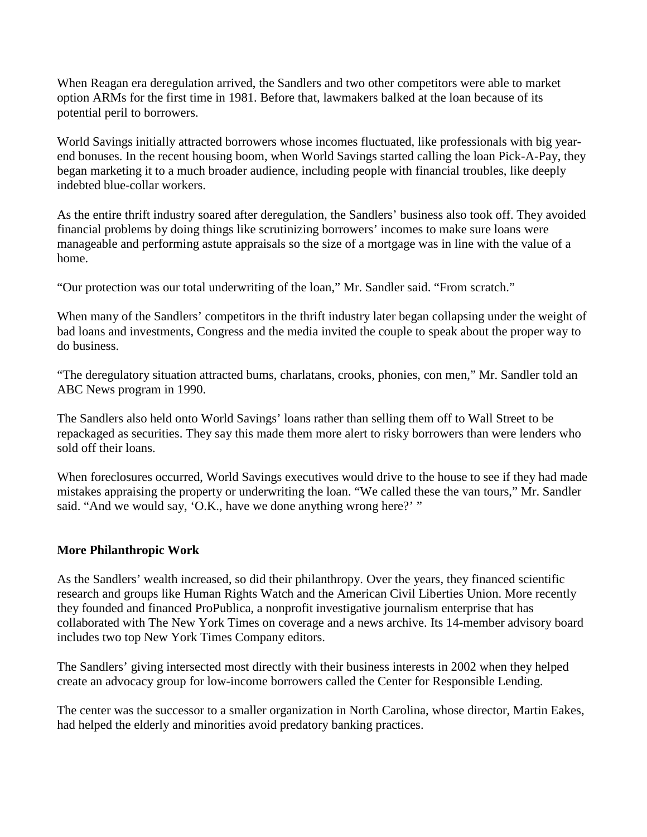When Reagan era deregulation arrived, the Sandlers and two other competitors were able to market option ARMs for the first time in 1981. Before that, lawmakers balked at the loan because of its potential peril to borrowers.

World Savings initially attracted borrowers whose incomes fluctuated, like professionals with big yearend bonuses. In the recent housing boom, when World Savings started calling the loan Pick-A-Pay, they began marketing it to a much broader audience, including people with financial troubles, like deeply indebted blue-collar workers.

As the entire thrift industry soared after deregulation, the Sandlers' business also took off. They avoided financial problems by doing things like scrutinizing borrowers' incomes to make sure loans were manageable and performing astute appraisals so the size of a mortgage was in line with the value of a home.

"Our protection was our total underwriting of the loan," Mr. Sandler said. "From scratch."

When many of the Sandlers' competitors in the thrift industry later began collapsing under the weight of bad loans and investments, Congress and the media invited the couple to speak about the proper way to do business.

"The deregulatory situation attracted bums, charlatans, crooks, phonies, con men," Mr. Sandler told an ABC News program in 1990.

The Sandlers also held onto World Savings' loans rather than selling them off to Wall Street to be repackaged as securities. They say this made them more alert to risky borrowers than were lenders who sold off their loans.

When foreclosures occurred, World Savings executives would drive to the house to see if they had made mistakes appraising the property or underwriting the loan. "We called these the van tours," Mr. Sandler said. "And we would say, 'O.K., have we done anything wrong here?' "

#### **More Philanthropic Work**

As the Sandlers' wealth increased, so did their philanthropy. Over the years, they financed scientific research and groups like Human Rights Watch and the American Civil Liberties Union. More recently they founded and financed ProPublica, a nonprofit investigative journalism enterprise that has collaborated with The New York Times on coverage and a news archive. Its 14-member advisory board includes two top New York Times Company editors.

The Sandlers' giving intersected most directly with their business interests in 2002 when they helped create an advocacy group for low-income borrowers called the Center for Responsible Lending.

The center was the successor to a smaller organization in North Carolina, whose director, Martin Eakes, had helped the elderly and minorities avoid predatory banking practices.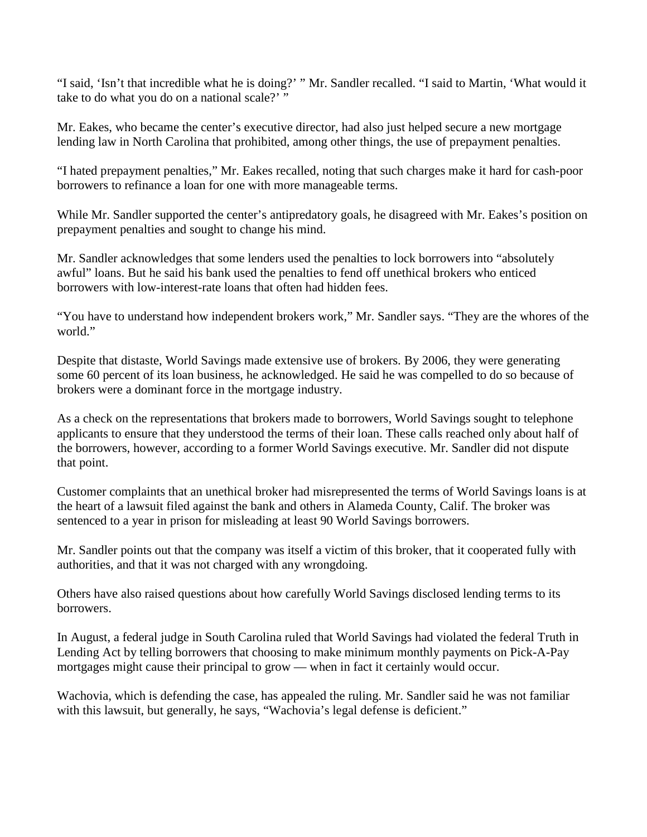"I said, 'Isn't that incredible what he is doing?' " Mr. Sandler recalled. "I said to Martin, 'What would it take to do what you do on a national scale?' "

Mr. Eakes, who became the center's executive director, had also just helped secure a new mortgage lending law in North Carolina that prohibited, among other things, the use of prepayment penalties.

"I hated prepayment penalties," Mr. Eakes recalled, noting that such charges make it hard for cash-poor borrowers to refinance a loan for one with more manageable terms.

While Mr. Sandler supported the center's antipredatory goals, he disagreed with Mr. Eakes's position on prepayment penalties and sought to change his mind.

Mr. Sandler acknowledges that some lenders used the penalties to lock borrowers into "absolutely awful" loans. But he said his bank used the penalties to fend off unethical brokers who enticed borrowers with low-interest-rate loans that often had hidden fees.

"You have to understand how independent brokers work," Mr. Sandler says. "They are the whores of the world."

Despite that distaste, World Savings made extensive use of brokers. By 2006, they were generating some 60 percent of its loan business, he acknowledged. He said he was compelled to do so because of brokers were a dominant force in the mortgage industry.

As a check on the representations that brokers made to borrowers, World Savings sought to telephone applicants to ensure that they understood the terms of their loan. These calls reached only about half of the borrowers, however, according to a former World Savings executive. Mr. Sandler did not dispute that point.

Customer complaints that an unethical broker had misrepresented the terms of World Savings loans is at the heart of a lawsuit filed against the bank and others in Alameda County, Calif. The broker was sentenced to a year in prison for misleading at least 90 World Savings borrowers.

Mr. Sandler points out that the company was itself a victim of this broker, that it cooperated fully with authorities, and that it was not charged with any wrongdoing.

Others have also raised questions about how carefully World Savings disclosed lending terms to its borrowers.

In August, a federal judge in South Carolina ruled that World Savings had violated the federal Truth in Lending Act by telling borrowers that choosing to make minimum monthly payments on Pick-A-Pay mortgages might cause their principal to grow — when in fact it certainly would occur.

Wachovia, which is defending the case, has appealed the ruling. Mr. Sandler said he was not familiar with this lawsuit, but generally, he says, "Wachovia's legal defense is deficient."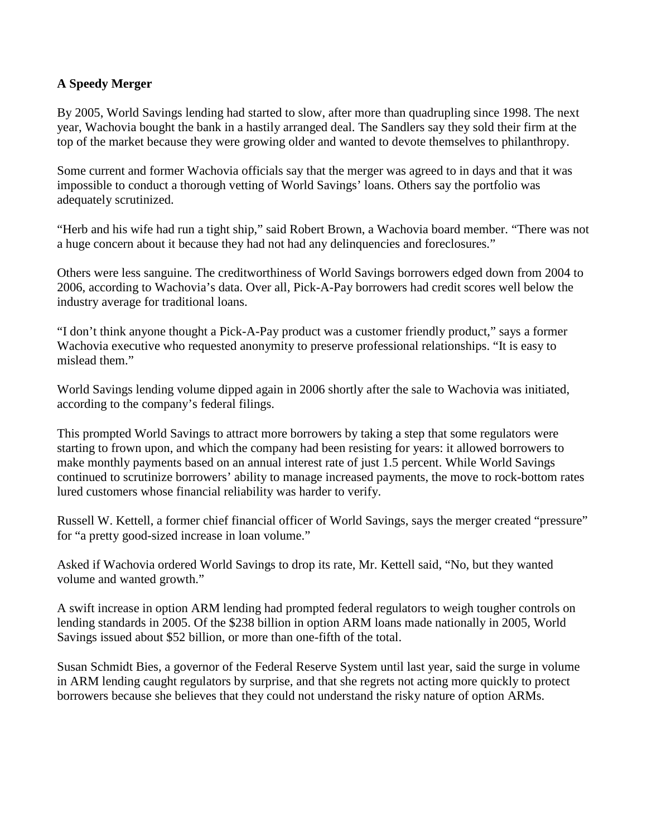### **A Speedy Merger**

By 2005, World Savings lending had started to slow, after more than quadrupling since 1998. The next year, Wachovia bought the bank in a hastily arranged deal. The Sandlers say they sold their firm at the top of the market because they were growing older and wanted to devote themselves to philanthropy.

Some current and former Wachovia officials say that the merger was agreed to in days and that it was impossible to conduct a thorough vetting of World Savings' loans. Others say the portfolio was adequately scrutinized.

"Herb and his wife had run a tight ship," said Robert Brown, a Wachovia board member. "There was not a huge concern about it because they had not had any delinquencies and foreclosures."

Others were less sanguine. The creditworthiness of World Savings borrowers edged down from 2004 to 2006, according to Wachovia's data. Over all, Pick-A-Pay borrowers had credit scores well below the industry average for traditional loans.

"I don't think anyone thought a Pick-A-Pay product was a customer friendly product," says a former Wachovia executive who requested anonymity to preserve professional relationships. "It is easy to mislead them."

World Savings lending volume dipped again in 2006 shortly after the sale to Wachovia was initiated, according to the company's federal filings.

This prompted World Savings to attract more borrowers by taking a step that some regulators were starting to frown upon, and which the company had been resisting for years: it allowed borrowers to make monthly payments based on an annual interest rate of just 1.5 percent. While World Savings continued to scrutinize borrowers' ability to manage increased payments, the move to rock-bottom rates lured customers whose financial reliability was harder to verify.

Russell W. Kettell, a former chief financial officer of World Savings, says the merger created "pressure" for "a pretty good-sized increase in loan volume."

Asked if Wachovia ordered World Savings to drop its rate, Mr. Kettell said, "No, but they wanted volume and wanted growth."

A swift increase in option ARM lending had prompted federal regulators to weigh tougher controls on lending standards in 2005. Of the \$238 billion in option ARM loans made nationally in 2005, World Savings issued about \$52 billion, or more than one-fifth of the total.

Susan Schmidt Bies, a governor of the Federal Reserve System until last year, said the surge in volume in ARM lending caught regulators by surprise, and that she regrets not acting more quickly to protect borrowers because she believes that they could not understand the risky nature of option ARMs.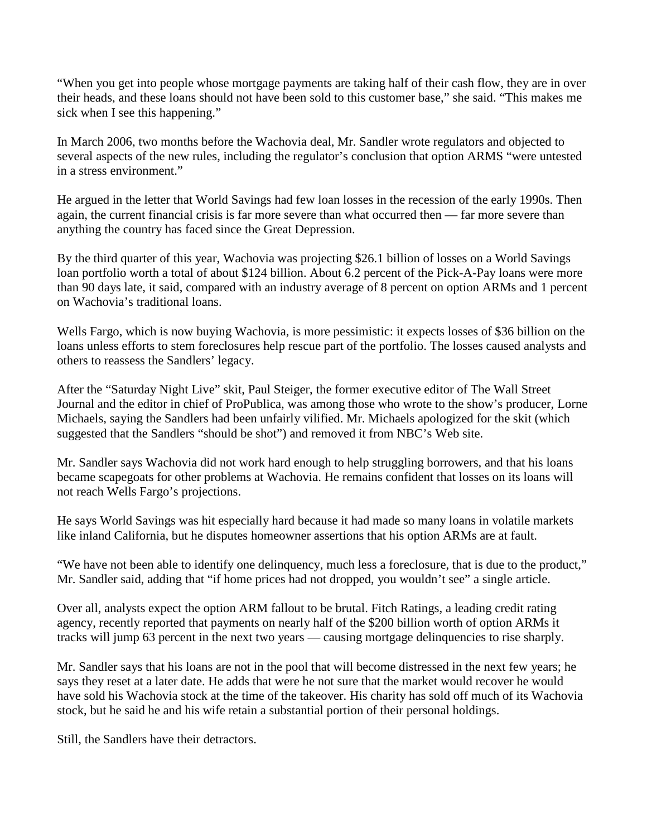"When you get into people whose mortgage payments are taking half of their cash flow, they are in over their heads, and these loans should not have been sold to this customer base," she said. "This makes me sick when I see this happening."

In March 2006, two months before the Wachovia deal, Mr. Sandler wrote regulators and objected to several aspects of the new rules, including the regulator's conclusion that option ARMS "were untested in a stress environment."

He argued in the letter that World Savings had few loan losses in the recession of the early 1990s. Then again, the current financial crisis is far more severe than what occurred then — far more severe than anything the country has faced since the Great Depression.

By the third quarter of this year, Wachovia was projecting \$26.1 billion of losses on a World Savings loan portfolio worth a total of about \$124 billion. About 6.2 percent of the Pick-A-Pay loans were more than 90 days late, it said, compared with an industry average of 8 percent on option ARMs and 1 percent on Wachovia's traditional loans.

Wells Fargo, which is now buying Wachovia, is more pessimistic: it expects losses of \$36 billion on the loans unless efforts to stem foreclosures help rescue part of the portfolio. The losses caused analysts and others to reassess the Sandlers' legacy.

After the "Saturday Night Live" skit, Paul Steiger, the former executive editor of The Wall Street Journal and the editor in chief of ProPublica, was among those who wrote to the show's producer, Lorne Michaels, saying the Sandlers had been unfairly vilified. Mr. Michaels apologized for the skit (which suggested that the Sandlers "should be shot") and removed it from NBC's Web site.

Mr. Sandler says Wachovia did not work hard enough to help struggling borrowers, and that his loans became scapegoats for other problems at Wachovia. He remains confident that losses on its loans will not reach Wells Fargo's projections.

He says World Savings was hit especially hard because it had made so many loans in volatile markets like inland California, but he disputes homeowner assertions that his option ARMs are at fault.

"We have not been able to identify one delinquency, much less a foreclosure, that is due to the product," Mr. Sandler said, adding that "if home prices had not dropped, you wouldn't see" a single article.

Over all, analysts expect the option ARM fallout to be brutal. Fitch Ratings, a leading credit rating agency, recently reported that payments on nearly half of the \$200 billion worth of option ARMs it tracks will jump 63 percent in the next two years — causing mortgage delinquencies to rise sharply.

Mr. Sandler says that his loans are not in the pool that will become distressed in the next few years; he says they reset at a later date. He adds that were he not sure that the market would recover he would have sold his Wachovia stock at the time of the takeover. His charity has sold off much of its Wachovia stock, but he said he and his wife retain a substantial portion of their personal holdings.

Still, the Sandlers have their detractors.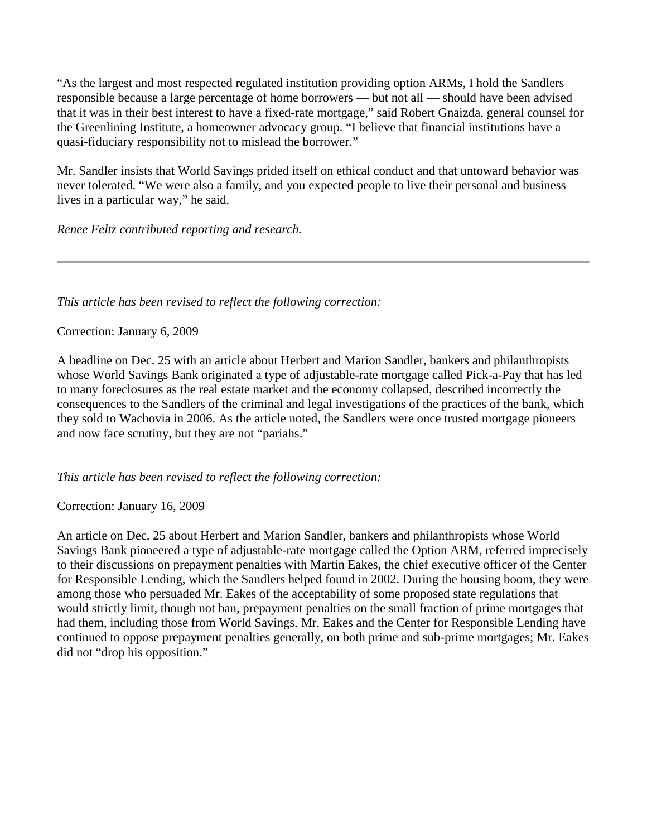"As the largest and most respected regulated institution providing option ARMs, I hold the Sandlers responsible because a large percentage of home borrowers — but not all — should have been advised that it was in their best interest to have a fixed-rate mortgage," said Robert Gnaizda, general counsel for the Greenlining Institute, a homeowner advocacy group. "I believe that financial institutions have a quasi-fiduciary responsibility not to mislead the borrower."

Mr. Sandler insists that World Savings prided itself on ethical conduct and that untoward behavior was never tolerated. "We were also a family, and you expected people to live their personal and business lives in a particular way," he said.

*Renee Feltz contributed reporting and research.*

*This article has been revised to reflect the following correction:*

Correction: January 6, 2009

A headline on Dec. 25 with an article about Herbert and Marion Sandler, bankers and philanthropists whose World Savings Bank originated a type of adjustable-rate mortgage called Pick-a-Pay that has led to many foreclosures as the real estate market and the economy collapsed, described incorrectly the consequences to the Sandlers of the criminal and legal investigations of the practices of the bank, which they sold to Wachovia in 2006. As the article noted, the Sandlers were once trusted mortgage pioneers and now face scrutiny, but they are not "pariahs."

*This article has been revised to reflect the following correction:*

Correction: January 16, 2009

An article on Dec. 25 about Herbert and Marion Sandler, bankers and philanthropists whose World Savings Bank pioneered a type of adjustable-rate mortgage called the Option ARM, referred imprecisely to their discussions on prepayment penalties with Martin Eakes, the chief executive officer of the Center for Responsible Lending, which the Sandlers helped found in 2002. During the housing boom, they were among those who persuaded Mr. Eakes of the acceptability of some proposed state regulations that would strictly limit, though not ban, prepayment penalties on the small fraction of prime mortgages that had them, including those from World Savings. Mr. Eakes and the Center for Responsible Lending have continued to oppose prepayment penalties generally, on both prime and sub-prime mortgages; Mr. Eakes did not "drop his opposition."